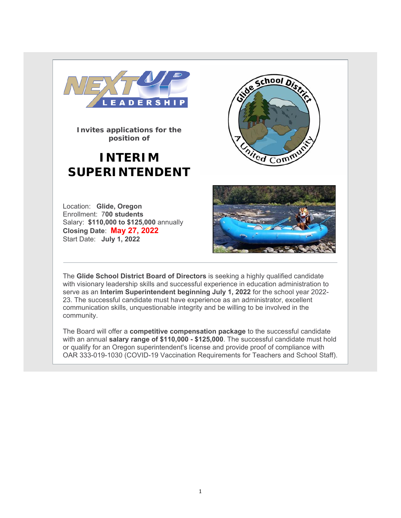

**Invites applications for the position of**

# **INTERIM SUPERINTENDENT**



Location: **Glide, Oregon**  Enrollment: 7**00 students**  Salary: **\$110,000 to \$125,000** annually **Closing Date**: **May 27, 2022** Start Date: **July 1, 2022**



The **Glide School District Board of Directors** is seeking a highly qualified candidate with visionary leadership skills and successful experience in education administration to serve as an **Interim Superintendent beginning July 1, 2022** for the school year 2022- 23. The successful candidate must have experience as an administrator, excellent communication skills, unquestionable integrity and be willing to be involved in the community.

The Board will offer a **competitive compensation package** to the successful candidate with an annual **salary range of \$110,000 - \$125,000**. The successful candidate must hold or qualify for an Oregon superintendent's license and provide proof of compliance with OAR 333-019-1030 (COVID-19 Vaccination Requirements for Teachers and School Staff).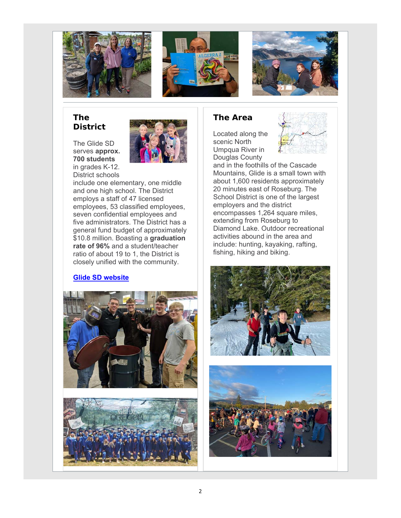





### **The District**

The Glide SD serves **approx. 700 students** in grades K-12.



District schools include one elementary, one middle and one high school. The District employs a staff of 47 licensed employees, 53 classified employees, seven confidential employees and five administrators. The District has a general fund budget of approximately \$10.8 million. Boasting a **graduation rate of 96%** and a student/teacher ratio of about 19 to 1, the District is closely unified with the community.

#### **Glide SD website**





## **The Area**

Located along the scenic North Umpqua River in Douglas County



and in the foothills of the Cascade Mountains, Glide is a small town with about 1,600 residents approximately 20 minutes east of Roseburg. The School District is one of the largest employers and the district encompasses 1,264 square miles, extending from Roseburg to Diamond Lake. Outdoor recreational activities abound in the area and include: hunting, kayaking, rafting, fishing, hiking and biking.



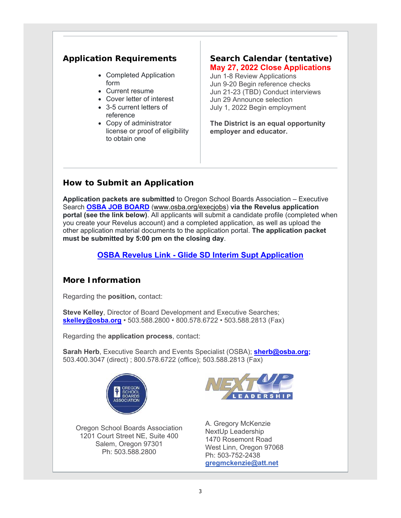# **Application Requirements**

- Completed Application form
- Current resume
- Cover letter of interest
- 3-5 current letters of reference
- Copy of administrator license or proof of eligibility to obtain one

#### **Search Calendar (tentative) May 27, 2022 Close Applications**

Jun 1-8 Review Applications Jun 9-20 Begin reference checks Jun 21-23 (TBD) Conduct interviews Jun 29 Announce selection July 1, 2022 Begin employment

**The District is an equal opportunity employer and educator.** 

# **How to Submit an Application**

**Application packets are submitted** to Oregon School Boards Association – Executive Search **OSBA JOB BOARD** (www.osba.org/execjobs) **via the Revelus application portal (see the link below)**. All applicants will submit a candidate profile (completed when you create your Revelus account) and a completed application, as well as upload the other application material documents to the application portal. **The application packet must be submitted by 5:00 pm on the closing day**.

## **OSBA Revelus Link - Glide SD Interim Supt Application**

# **More Information**

Regarding the **position,** contact:

**Steve Kelley**, Director of Board Development and Executive Searches; **skelley@osba.org** • 503.588.2800 • 800.578.6722 • 503.588.2813 (Fax)

Regarding the **application process**, contact:

**Sarah Herb**, Executive Search and Events Specialist (OSBA); **sherb@osba.org;** 503.400.3047 (direct) ; 800.578.6722 (office); 503.588.2813 (Fax)



Oregon School Boards Association 1201 Court Street NE, Suite 400 Salem, Oregon 97301 Ph: 503.588.2800



A. Gregory McKenzie NextUp Leadership 1470 Rosemont Road West Linn, Oregon 97068 Ph: 503-752-2438 **gregmckenzie@att.net**